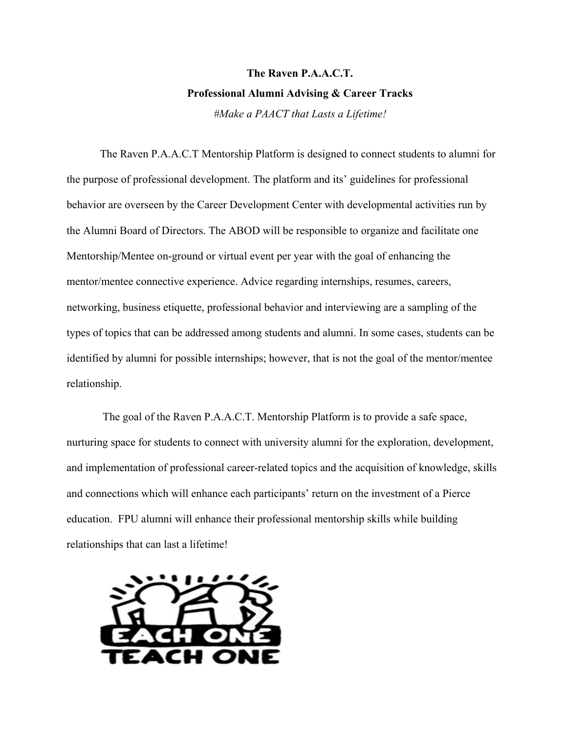## **The Raven P.A.A.C.T. Professional Alumni Advising & Career Tracks** *#Make a PAACT that Lasts a Lifetime!*

The Raven P.A.A.C.T Mentorship Platform is designed to connect students to alumni for the purpose of professional development. The platform and its' guidelines for professional behavior are overseen by the Career Development Center with developmental activities run by the Alumni Board of Directors. The ABOD will be responsible to organize and facilitate one Mentorship/Mentee on-ground or virtual event per year with the goal of enhancing the mentor/mentee connective experience. Advice regarding internships, resumes, careers, networking, business etiquette, professional behavior and interviewing are a sampling of the types of topics that can be addressed among students and alumni. In some cases, students can be identified by alumni for possible internships; however, that is not the goal of the mentor/mentee relationship.

The goal of the Raven P.A.A.C.T. Mentorship Platform is to provide a safe space, nurturing space for students to connect with university alumni for the exploration, development, and implementation of professional career-related topics and the acquisition of knowledge, skills and connections which will enhance each participants' return on the investment of a Pierce education. FPU alumni will enhance their professional mentorship skills while building relationships that can last a lifetime!

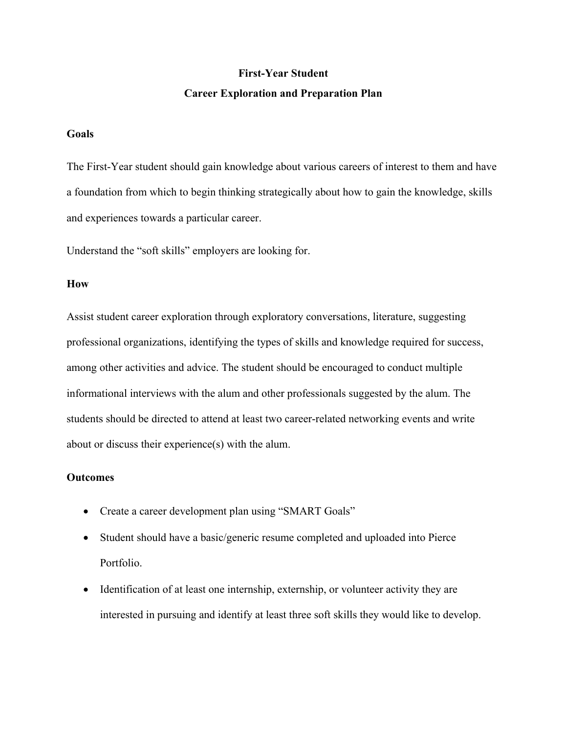## **First-Year Student Career Exploration and Preparation Plan**

## **Goals**

The First-Year student should gain knowledge about various careers of interest to them and have a foundation from which to begin thinking strategically about how to gain the knowledge, skills and experiences towards a particular career.

Understand the "soft skills" employers are looking for.

#### **How**

Assist student career exploration through exploratory conversations, literature, suggesting professional organizations, identifying the types of skills and knowledge required for success, among other activities and advice. The student should be encouraged to conduct multiple informational interviews with the alum and other professionals suggested by the alum. The students should be directed to attend at least two career-related networking events and write about or discuss their experience(s) with the alum.

#### **Outcomes**

- Create a career development plan using "SMART Goals"
- Student should have a basic/generic resume completed and uploaded into Pierce Portfolio.
- Identification of at least one internship, externship, or volunteer activity they are interested in pursuing and identify at least three soft skills they would like to develop.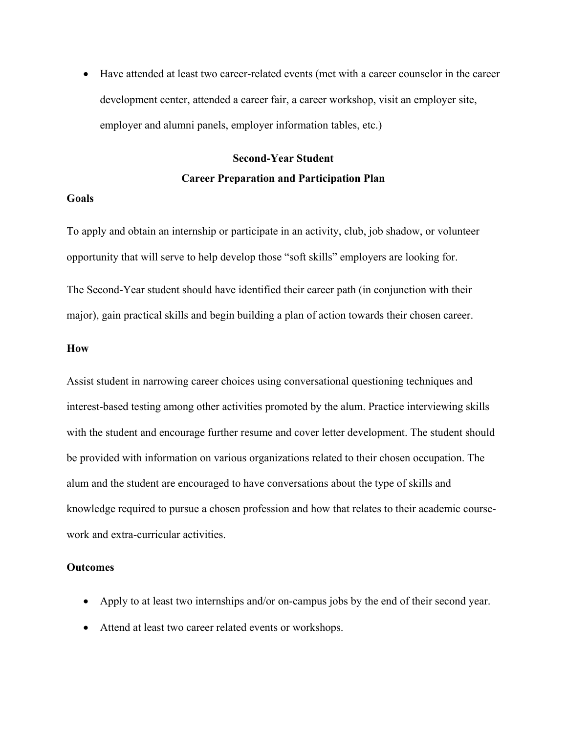• Have attended at least two career-related events (met with a career counselor in the career development center, attended a career fair, a career workshop, visit an employer site, employer and alumni panels, employer information tables, etc.)

# **Second-Year Student Career Preparation and Participation Plan**

### **Goals**

To apply and obtain an internship or participate in an activity, club, job shadow, or volunteer opportunity that will serve to help develop those "soft skills" employers are looking for.

The Second-Year student should have identified their career path (in conjunction with their major), gain practical skills and begin building a plan of action towards their chosen career.

#### **How**

Assist student in narrowing career choices using conversational questioning techniques and interest-based testing among other activities promoted by the alum. Practice interviewing skills with the student and encourage further resume and cover letter development. The student should be provided with information on various organizations related to their chosen occupation. The alum and the student are encouraged to have conversations about the type of skills and knowledge required to pursue a chosen profession and how that relates to their academic coursework and extra-curricular activities.

#### **Outcomes**

- Apply to at least two internships and/or on-campus jobs by the end of their second year.
- Attend at least two career related events or workshops.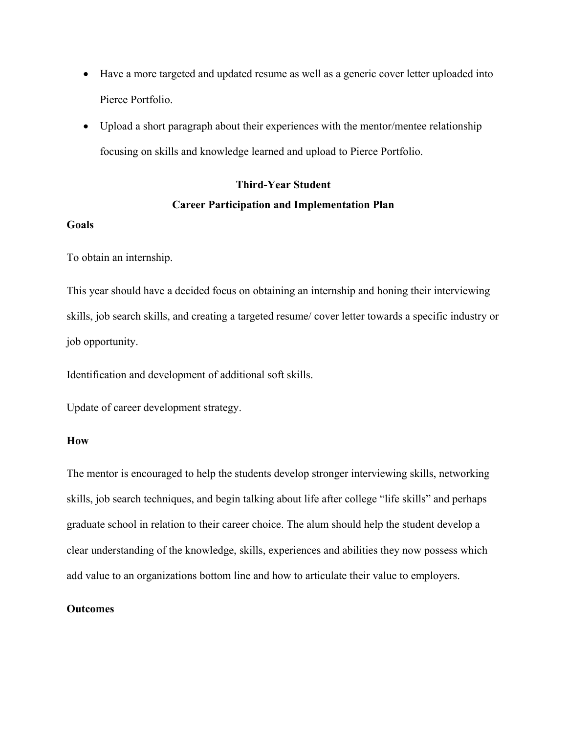- Have a more targeted and updated resume as well as a generic cover letter uploaded into Pierce Portfolio.
- Upload a short paragraph about their experiences with the mentor/mentee relationship focusing on skills and knowledge learned and upload to Pierce Portfolio.

# **Third-Year Student Career Participation and Implementation Plan**

## **Goals**

To obtain an internship.

This year should have a decided focus on obtaining an internship and honing their interviewing skills, job search skills, and creating a targeted resume/ cover letter towards a specific industry or job opportunity.

Identification and development of additional soft skills.

Update of career development strategy.

#### **How**

The mentor is encouraged to help the students develop stronger interviewing skills, networking skills, job search techniques, and begin talking about life after college "life skills" and perhaps graduate school in relation to their career choice. The alum should help the student develop a clear understanding of the knowledge, skills, experiences and abilities they now possess which add value to an organizations bottom line and how to articulate their value to employers.

## **Outcomes**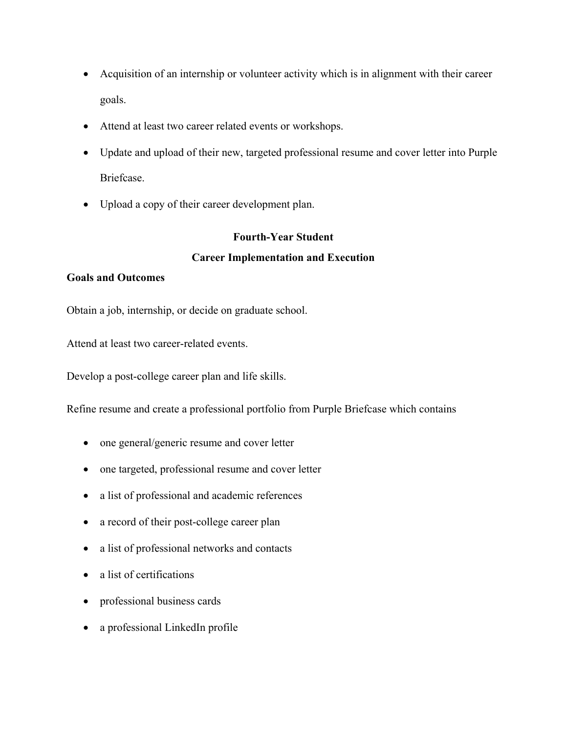- Acquisition of an internship or volunteer activity which is in alignment with their career goals.
- Attend at least two career related events or workshops.
- Update and upload of their new, targeted professional resume and cover letter into Purple Briefcase.
- Upload a copy of their career development plan.

## **Fourth-Year Student Career Implementation and Execution**

## **Goals and Outcomes**

Obtain a job, internship, or decide on graduate school.

Attend at least two career-related events.

Develop a post-college career plan and life skills.

Refine resume and create a professional portfolio from Purple Briefcase which contains

- one general/generic resume and cover letter
- one targeted, professional resume and cover letter
- a list of professional and academic references
- a record of their post-college career plan
- a list of professional networks and contacts
- a list of certifications
- professional business cards
- a professional LinkedIn profile